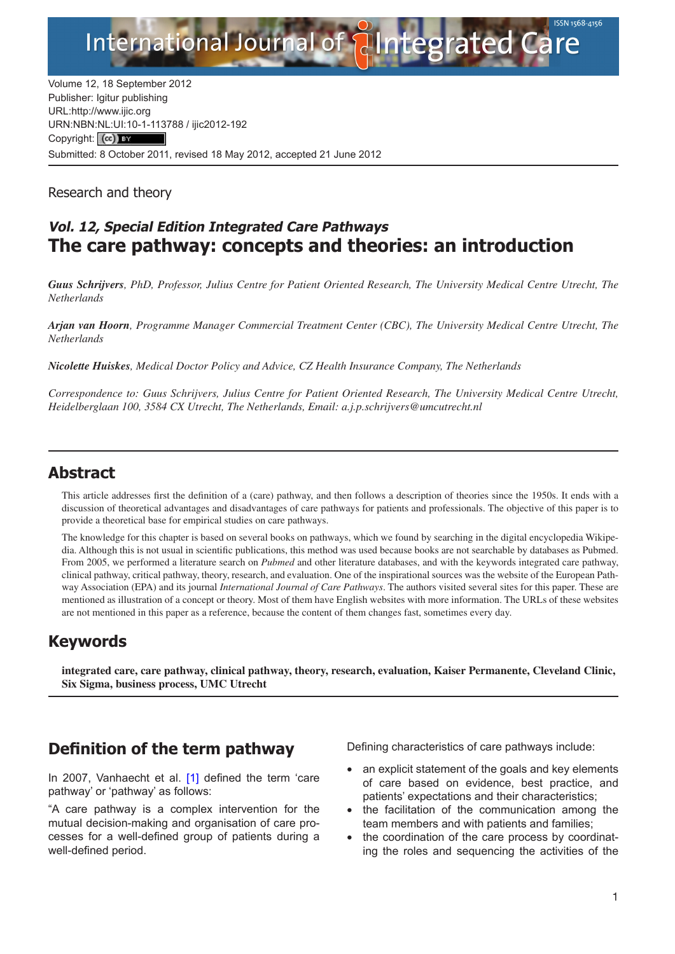Integrated Care

Volume 12, 18 September 2012 Publisher: Igitur publishing URL[:http://www.ijic.org](http://www.ijic.org) URN:NBN[:NL:UI:10-1-1137](http://creativecommons.org/licenses/by/3.0/)88 / ijic2012-192 Copyright: (cc) BY Submitted: 8 October 2011, revised 18 May 2012, accepted 21 June 2012

**International Journal of** 

Research and theory

## **Vol. 12, Special Edition Integrated Care Pathways The care pathway: concepts and theories: an introduction**

*Guus Schrijvers, PhD, Professor, Julius Centre for Patient Oriented Research, The University Medical Centre Utrecht, The Netherlands*

*Arjan van Hoorn, Programme Manager Commercial Treatment Center (CBC), The University Medical Centre Utrecht, The Netherlands*

*Nicolette Huiskes, Medical Doctor Policy and Advice, CZ Health Insurance Company, The Netherlands*

*Correspondence to: Guus Schrijvers, Julius Centre for Patient Oriented Research, The University Medical Centre Utrecht, Heidelberglaan 100, 3584 CX Utrecht, The Netherlands, Email: [a.j.p.schrijvers@umcutrecht.nl](mailto: a.j.p.schrijvers@umcutrecht.nl)*

### **Abstract**

This article addresses first the definition of a (care) pathway, and then follows a description of theories since the 1950s. It ends with a discussion of theoretical advantages and disadvantages of care pathways for patients and professionals. The objective of this paper is to provide a theoretical base for empirical studies on care pathways.

The knowledge for this chapter is based on several books on pathways, which we found by searching in the digital encyclopedia Wikipedia. Although this is not usual in scientific publications, this method was used because books are not searchable by databases as Pubmed. From 2005, we performed a literature search on *Pubmed* and other literature databases, and with the keywords integrated care pathway, clinical pathway, critical pathway, theory, research, and evaluation. One of the inspirational sources was the website of the European Pathway Association (EPA) and its journal *International Journal of Care Pathways*. The authors visited several sites for this paper. These are mentioned as illustration of a concept or theory. Most of them have English websites with more information. The URLs of these websites are not mentioned in this paper as a reference, because the content of them changes fast, sometimes every day.

### **Keywords**

**integrated care, care pathway, clinical pathway, theory, research, evaluation, Kaiser Permanente, Cleveland Clinic, Six Sigma, business process, UMC Utrecht**

### **Definition of the term pathway**

In 2007, Vanhaecht et al. [\[1\]](#page-6-0) defined the term 'care pathway' or 'pathway' as follows:

"A care pathway is a complex intervention for the mutual decision-making and organisation of care processes for a well-defined group of patients during a well-defined period.

Defining characteristics of care pathways include:

- an explicit statement of the goals and key elements of care based on evidence, best practice, and patients' expectations and their characteristics;
- the facilitation of the communication among the team members and with patients and families;
- the coordination of the care process by coordinating the roles and sequencing the activities of the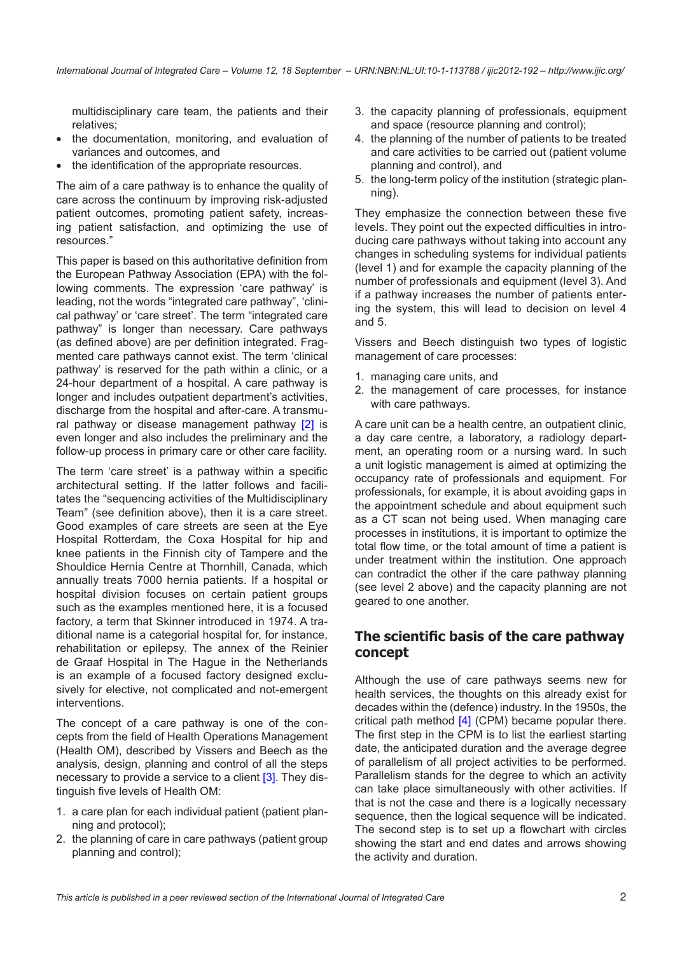multidisciplinary care team, the patients and their relatives;

- the documentation, monitoring, and evaluation of variances and outcomes, and
- the identification of the appropriate resources.

The aim of a care pathway is to enhance the quality of care across the continuum by improving risk-adjusted patient outcomes, promoting patient safety, increasing patient satisfaction, and optimizing the use of resources."

This paper is based on this authoritative definition from the European Pathway Association (EPA) with the following comments. The expression 'care pathway' is leading, not the words "integrated care pathway", 'clinical pathway' or 'care street'. The term "integrated care pathway" is longer than necessary. Care pathways (as defined above) are per definition integrated. Fragmented care pathways cannot exist. The term 'clinical pathway' is reserved for the path within a clinic, or a 24-hour department of a hospital. A care pathway is longer and includes outpatient department's activities, discharge from the hospital and after-care. A transmu-ral pathway or disease management pathway [[2](#page-6-0)] is even longer and also includes the preliminary and the follow-up process in primary care or other care facility.

The term 'care street' is a pathway within a specific architectural setting. If the latter follows and facilitates the "sequencing activities of the Multidisciplinary Team" (see definition above), then it is a care street. Good examples of care streets are seen at the Eye Hospital Rotterdam, the Coxa Hospital for hip and knee patients in the Finnish city of Tampere and the Shouldice Hernia Centre at Thornhill, Canada, which annually treats 7000 hernia patients. If a hospital or hospital division focuses on certain patient groups such as the examples mentioned here, it is a focused factory, a term that Skinner introduced in 1974. A traditional name is a categorial hospital for, for instance, rehabilitation or epilepsy. The annex of the Reinier de Graaf Hospital in The Hague in the Netherlands is an example of a focused factory designed exclusively for elective, not complicated and not-emergent interventions.

The concept of a care pathway is one of the concepts from the field of Health Operations Management (Health OM), described by Vissers and Beech as the analysis, design, planning and control of all the steps necessary to provide a service to a client [[3](#page-6-0)]. They distinguish five levels of Health OM:

- 1. a care plan for each individual patient (patient planning and protocol);
- 2. the planning of care in care pathways (patient group planning and control);
- 3. the capacity planning of professionals, equipment and space (resource planning and control);
- 4. the planning of the number of patients to be treated and care activities to be carried out (patient volume planning and control), and
- 5. the long-term policy of the institution (strategic planning).

They emphasize the connection between these five levels. They point out the expected difficulties in introducing care pathways without taking into account any changes in scheduling systems for individual patients (level 1) and for example the capacity planning of the number of professionals and equipment (level 3). And if a pathway increases the number of patients entering the system, this will lead to decision on level 4 and 5.

Vissers and Beech distinguish two types of logistic management of care processes:

- 1. managing care units, and
- 2. the management of care processes, for instance with care pathways.

A care unit can be a health centre, an outpatient clinic, a day care centre, a laboratory, a radiology department, an operating room or a nursing ward. In such a unit logistic management is aimed at optimizing the occupancy rate of professionals and equipment. For professionals, for example, it is about avoiding gaps in the appointment schedule and about equipment such as a CT scan not being used. When managing care processes in institutions, it is important to optimize the total flow time, or the total amount of time a patient is under treatment within the institution. One approach can contradict the other if the care pathway planning (see level 2 above) and the capacity planning are not geared to one another.

#### **The scientific basis of the care pathway concept**

Although the use of care pathways seems new for health services, the thoughts on this already exist for decades within the (defence) industry. In the 1950s, the critical path method  $[4]$  (CPM) became popular there. The first step in the CPM is to list the earliest starting date, the anticipated duration and the average degree of parallelism of all project activities to be performed. Parallelism stands for the degree to which an activity can take place simultaneously with other activities. If that is not the case and there is a logically necessary sequence, then the logical sequence will be indicated. The second step is to set up a flowchart with circles showing the start and end dates and arrows showing the activity and duration.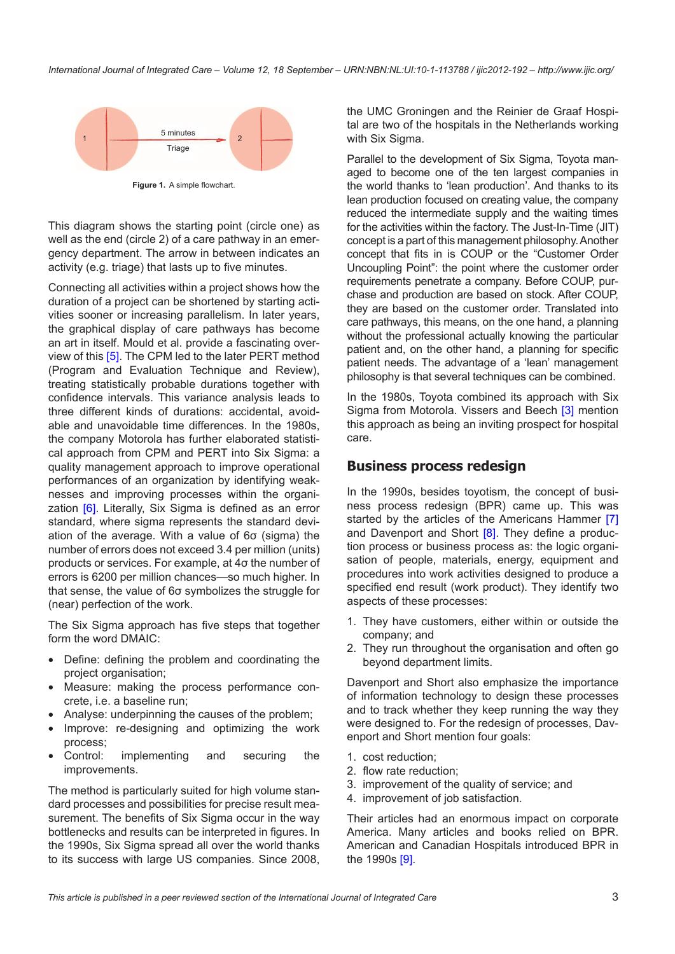

**Figure 1.** A simple flowchart.

This diagram shows the starting point (circle one) as well as the end (circle 2) of a care pathway in an emergency department. The arrow in between indicates an activity (e.g. triage) that lasts up to five minutes.

Connecting all activities within a project shows how the duration of a project can be shortened by starting activities sooner or increasing parallelism. In later years, the graphical display of care pathways has become an art in itself. Mould et al. provide a fascinating overview of this [[5](#page-6-0)]. The CPM led to the later PERT method (Program and Evaluation Technique and Review), treating statistically probable durations together with confidence intervals. This variance analysis leads to three different kinds of durations: accidental, avoidable and unavoidable time differences. In the 1980s, the company Motorola has further elaborated statistical approach from CPM and PERT into Six Sigma: a quality management approach to improve operational performances of an organization by identifying weaknesses and improving processes within the organi-zation [\[6\]](#page-6-0). Literally, Six Sigma is defined as an error standard, where sigma represents the standard deviation of the average. With a value of 6σ (sigma) the number of errors does not exceed 3.4 per million (units) products or services. For example, at 4σ the number of errors is 6200 per million chances—so much higher. In that sense, the value of 6σ symbolizes the struggle for (near) perfection of the work.

The Six Sigma approach has five steps that together form the word DMAIC:

- Define: defining the problem and coordinating the project organisation;
- Measure: making the process performance concrete, i.e. a baseline run;
- Analyse: underpinning the causes of the problem;
- Improve: re-designing and optimizing the work process;
- Control: implementing and securing the improvements.

The method is particularly suited for high volume standard processes and possibilities for precise result measurement. The benefits of Six Sigma occur in the way bottlenecks and results can be interpreted in figures. In the 1990s, Six Sigma spread all over the world thanks to its success with large US companies. Since 2008, the UMC Groningen and the Reinier de Graaf Hospital are two of the hospitals in the Netherlands working with Six Sigma.

Parallel to the development of Six Sigma, Toyota managed to become one of the ten largest companies in the world thanks to 'lean production'. And thanks to its lean production focused on creating value, the company reduced the intermediate supply and the waiting times for the activities within the factory. The Just-In-Time (JIT) concept is a part of this management philosophy. Another concept that fits in is COUP or the "Customer Order Uncoupling Point": the point where the customer order requirements penetrate a company. Before COUP, purchase and production are based on stock. After COUP, they are based on the customer order. Translated into care pathways, this means, on the one hand, a planning without the professional actually knowing the particular patient and, on the other hand, a planning for specific patient needs. The advantage of a 'lean' management philosophy is that several techniques can be combined.

In the 1980s, Toyota combined its approach with Six Sigma from Motorola. Vissers and Beech [\[3\]](#page-6-0) mention this approach as being an inviting prospect for hospital care.

#### **Business process redesign**

In the 1990s, besides toyotism, the concept of business process redesign (BPR) came up. This was started by the articles of the Americans Hammer [\[7\]](#page-6-0) and Davenport and Short [\[8\]](#page-6-0). They define a production process or business process as: the logic organisation of people, materials, energy, equipment and procedures into work activities designed to produce a specified end result (work product). They identify two aspects of these processes:

- 1. They have customers, either within or outside the company; and
- 2. They run throughout the organisation and often go beyond department limits.

Davenport and Short also emphasize the importance of information technology to design these processes and to track whether they keep running the way they were designed to. For the redesign of processes, Davenport and Short mention four goals:

- 1. cost reduction;
- 2. flow rate reduction;
- 3. improvement of the quality of service; and
- 4. improvement of job satisfaction.

Their articles had an enormous impact on corporate America. Many articles and books relied on BPR. American and Canadian Hospitals introduced BPR in the 1990s [[9](#page-6-0)].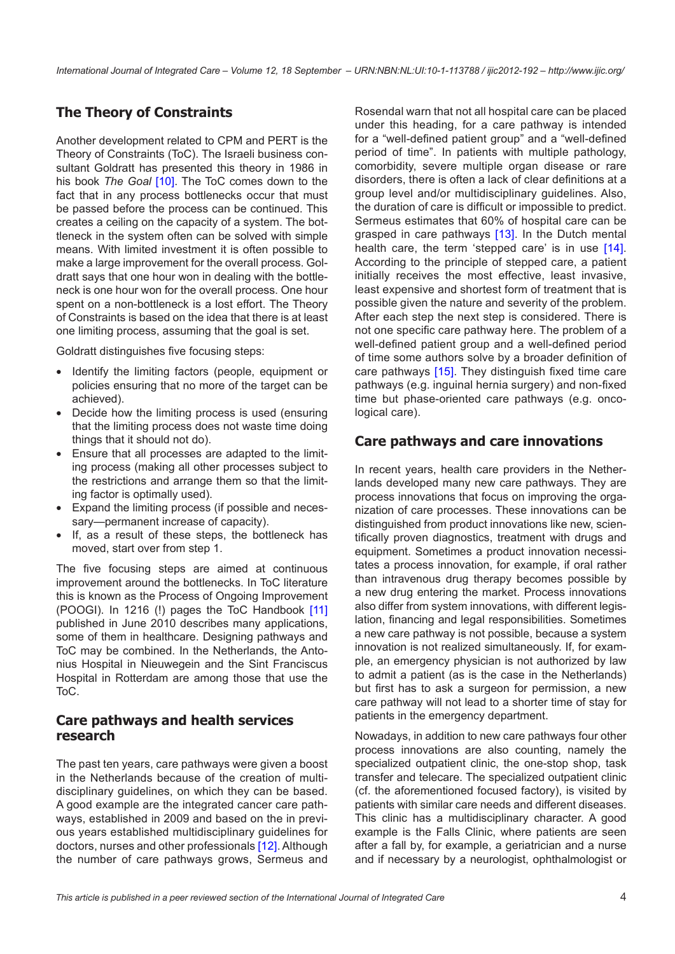### **The Theory of Constraints**

Another development related to CPM and PERT is the Theory of Constraints (ToC). The Israeli business consultant Goldratt has presented this theory in 1986 in his book *The Goal* [\[10](#page-6-0)]. The ToC comes down to the fact that in any process bottlenecks occur that must be passed before the process can be continued. This creates a ceiling on the capacity of a system. The bottleneck in the system often can be solved with simple means. With limited investment it is often possible to make a large improvement for the overall process. Goldratt says that one hour won in dealing with the bottleneck is one hour won for the overall process. One hour spent on a non-bottleneck is a lost effort. The Theory of Constraints is based on the idea that there is at least one limiting process, assuming that the goal is set.

Goldratt distinguishes five focusing steps:

- Identify the limiting factors (people, equipment or policies ensuring that no more of the target can be achieved).
- Decide how the limiting process is used (ensuring that the limiting process does not waste time doing things that it should not do).
- Ensure that all processes are adapted to the limiting process (making all other processes subject to the restrictions and arrange them so that the limiting factor is optimally used).
- Expand the limiting process (if possible and necessary—permanent increase of capacity).
- If, as a result of these steps, the bottleneck has moved, start over from step 1.

The five focusing steps are aimed at continuous improvement around the bottlenecks. In ToC literature this is known as the Process of Ongoing Improvement (POOGI). In 1216 (!) pages the ToC Handbook [\[11](#page-6-0)] published in June 2010 describes many applications, some of them in healthcare. Designing pathways and ToC may be combined. In the Netherlands, the Antonius Hospital in Nieuwegein and the Sint Franciscus Hospital in Rotterdam are among those that use the ToC.

#### **Care pathways and health services research**

The past ten years, care pathways were given a boost in the Netherlands because of the creation of multidisciplinary guidelines, on which they can be based. A good example are the integrated cancer care pathways, established in 2009 and based on the in previous years established multidisciplinary guidelines for doctors, nurses and other professionals [\[12\]](#page-6-0). Although the number of care pathways grows, Sermeus and

Rosendal warn that not all hospital care can be placed under this heading, for a care pathway is intended for a "well-defined patient group" and a "well-defined period of time". In patients with multiple pathology, comorbidity, severe multiple organ disease or rare disorders, there is often a lack of clear definitions at a group level and/or multidisciplinary guidelines. Also, the duration of care is difficult or impossible to predict. Sermeus estimates that 60% of hospital care can be grasped in care pathways [[13](#page-6-0)]. In the Dutch mental health care, the term 'stepped care' is in use [[14](#page-6-0)]. According to the principle of stepped care, a patient initially receives the most effective, least invasive, least expensive and shortest form of treatment that is possible given the nature and severity of the problem. After each step the next step is considered. There is not one specific care pathway here. The problem of a well-defined patient group and a well-defined period of time some authors solve by a broader definition of care pathways [\[15\]](#page-6-0). They distinguish fixed time care pathways (e.g. inguinal hernia surgery) and non-fixed time but phase-oriented care pathways (e.g. oncological care).

#### **Care pathways and care innovations**

In recent years, health care providers in the Netherlands developed many new care pathways. They are process innovations that focus on improving the organization of care processes. These innovations can be distinguished from product innovations like new, scientifically proven diagnostics, treatment with drugs and equipment. Sometimes a product innovation necessitates a process innovation, for example, if oral rather than intravenous drug therapy becomes possible by a new drug entering the market. Process innovations also differ from system innovations, with different legislation, financing and legal responsibilities. Sometimes a new care pathway is not possible, because a system innovation is not realized simultaneously. If, for example, an emergency physician is not authorized by law to admit a patient (as is the case in the Netherlands) but first has to ask a surgeon for permission, a new care pathway will not lead to a shorter time of stay for patients in the emergency department.

Nowadays, in addition to new care pathways four other process innovations are also counting, namely the specialized outpatient clinic, the one-stop shop, task transfer and telecare. The specialized outpatient clinic (cf. the aforementioned focused factory), is visited by patients with similar care needs and different diseases. This clinic has a multidisciplinary character. A good example is the Falls Clinic, where patients are seen after a fall by, for example, a geriatrician and a nurse and if necessary by a neurologist, ophthalmologist or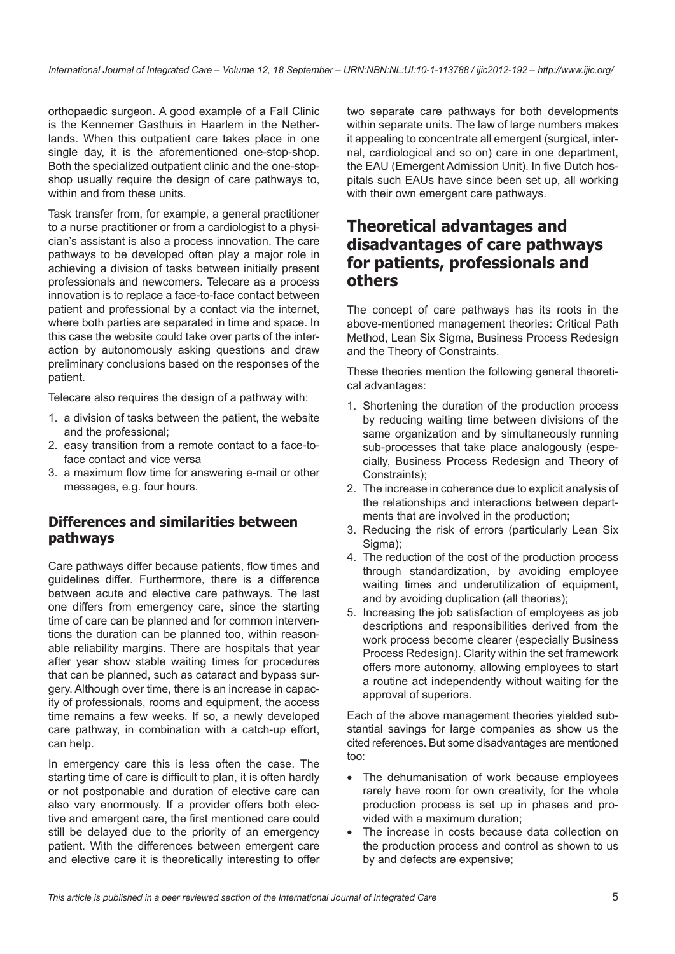orthopaedic surgeon. A good example of a Fall Clinic is the Kennemer Gasthuis in Haarlem in the Netherlands. When this outpatient care takes place in one single day, it is the aforementioned one-stop-shop. Both the specialized outpatient clinic and the one-stopshop usually require the design of care pathways to, within and from these units.

Task transfer from, for example, a general practitioner to a nurse practitioner or from a cardiologist to a physician's assistant is also a process innovation. The care pathways to be developed often play a major role in achieving a division of tasks between initially present professionals and newcomers. Telecare as a process innovation is to replace a face-to-face contact between patient and professional by a contact via the internet, where both parties are separated in time and space. In this case the website could take over parts of the interaction by autonomously asking questions and draw preliminary conclusions based on the responses of the patient.

Telecare also requires the design of a pathway with:

- 1. a division of tasks between the patient, the website and the professional;
- 2. easy transition from a remote contact to a face-toface contact and vice versa
- 3. a maximum flow time for answering e-mail or other messages, e.g. four hours.

#### **Differences and similarities between pathways**

Care pathways differ because patients, flow times and guidelines differ. Furthermore, there is a difference between acute and elective care pathways. The last one differs from emergency care, since the starting time of care can be planned and for common interventions the duration can be planned too, within reasonable reliability margins. There are hospitals that year after year show stable waiting times for procedures that can be planned, such as cataract and bypass surgery. Although over time, there is an increase in capacity of professionals, rooms and equipment, the access time remains a few weeks. If so, a newly developed care pathway, in combination with a catch-up effort, can help.

In emergency care this is less often the case. The starting time of care is difficult to plan, it is often hardly or not postponable and duration of elective care can also vary enormously. If a provider offers both elective and emergent care, the first mentioned care could still be delayed due to the priority of an emergency patient. With the differences between emergent care and elective care it is theoretically interesting to offer two separate care pathways for both developments within separate units. The law of large numbers makes it appealing to concentrate all emergent (surgical, internal, cardiological and so on) care in one department, the EAU (Emergent Admission Unit). In five Dutch hospitals such EAUs have since been set up, all working with their own emergent care pathways.

### **Theoretical advantages and disadvantages of care pathways for patients, professionals and others**

The concept of care pathways has its roots in the above-mentioned management theories: Critical Path Method, Lean Six Sigma, Business Process Redesign and the Theory of Constraints.

These theories mention the following general theoretical advantages:

- 1. Shortening the duration of the production process by reducing waiting time between divisions of the same organization and by simultaneously running sub-processes that take place analogously (especially, Business Process Redesign and Theory of Constraints);
- 2. The increase in coherence due to explicit analysis of the relationships and interactions between departments that are involved in the production;
- 3. Reducing the risk of errors (particularly Lean Six Sigma);
- 4. The reduction of the cost of the production process through standardization, by avoiding employee waiting times and underutilization of equipment, and by avoiding duplication (all theories);
- 5. Increasing the job satisfaction of employees as job descriptions and responsibilities derived from the work process become clearer (especially Business Process Redesign). Clarity within the set framework offers more autonomy, allowing employees to start a routine act independently without waiting for the approval of superiors.

Each of the above management theories yielded substantial savings for large companies as show us the cited references. But some disadvantages are mentioned too:

- The dehumanisation of work because employees rarely have room for own creativity, for the whole production process is set up in phases and provided with a maximum duration;
- The increase in costs because data collection on the production process and control as shown to us by and defects are expensive;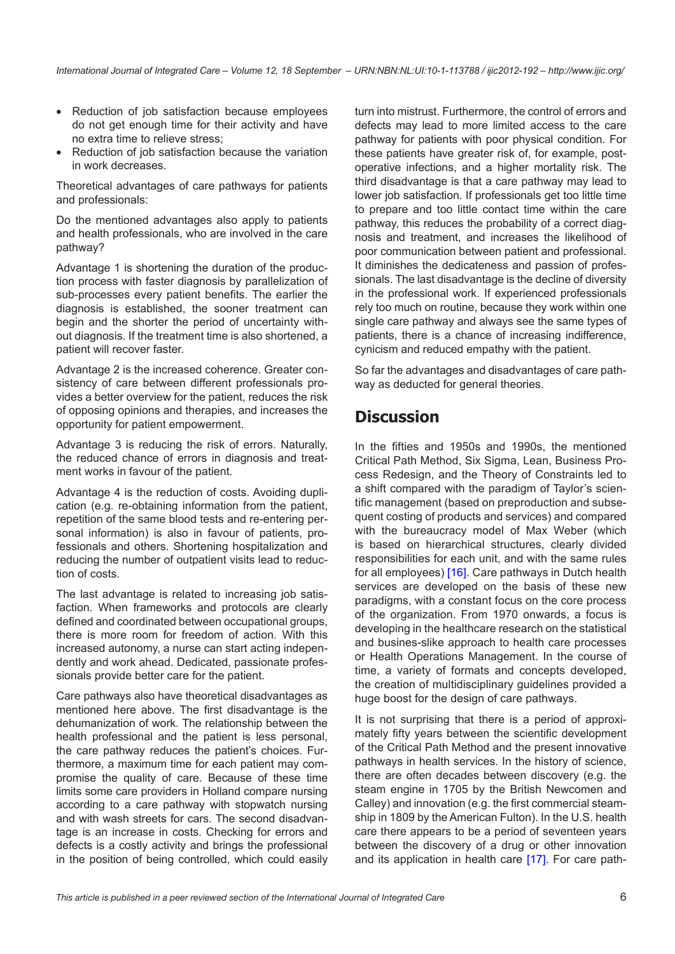- Reduction of job satisfaction because employees do not get enough time for their activity and have no extra time to relieve stress;
- Reduction of job satisfaction because the variation in work decreases.

Theoretical advantages of care pathways for patients and professionals:

Do the mentioned advantages also apply to patients and health professionals, who are involved in the care pathway?

Advantage 1 is shortening the duration of the production process with faster diagnosis by parallelization of sub-processes every patient benefits. The earlier the diagnosis is established, the sooner treatment can begin and the shorter the period of uncertainty without diagnosis. If the treatment time is also shortened, a patient will recover faster.

Advantage 2 is the increased coherence. Greater consistency of care between different professionals provides a better overview for the patient, reduces the risk of opposing opinions and therapies, and increases the opportunity for patient empowerment.

Advantage 3 is reducing the risk of errors. Naturally, the reduced chance of errors in diagnosis and treatment works in favour of the patient.

Advantage 4 is the reduction of costs. Avoiding duplication (e.g. re-obtaining information from the patient, repetition of the same blood tests and re-entering personal information) is also in favour of patients, professionals and others. Shortening hospitalization and reducing the number of outpatient visits lead to reduction of costs.

The last advantage is related to increasing job satisfaction. When frameworks and protocols are clearly defined and coordinated between occupational groups, there is more room for freedom of action. With this increased autonomy, a nurse can start acting independently and work ahead. Dedicated, passionate professionals provide better care for the patient.

Care pathways also have theoretical disadvantages as mentioned here above. The first disadvantage is the dehumanization of work. The relationship between the health professional and the patient is less personal, the care pathway reduces the patient's choices. Furthermore, a maximum time for each patient may compromise the quality of care. Because of these time limits some care providers in Holland compare nursing according to a care pathway with stopwatch nursing and with wash streets for cars. The second disadvantage is an increase in costs. Checking for errors and defects is a costly activity and brings the professional in the position of being controlled, which could easily turn into mistrust. Furthermore, the control of errors and defects may lead to more limited access to the care pathway for patients with poor physical condition. For these patients have greater risk of, for example, postoperative infections, and a higher mortality risk. The third disadvantage is that a care pathway may lead to lower job satisfaction. If professionals get too little time to prepare and too little contact time within the care pathway, this reduces the probability of a correct diagnosis and treatment, and increases the likelihood of poor communication between patient and professional. It diminishes the dedicateness and passion of professionals. The last disadvantage is the decline of diversity in the professional work. If experienced professionals rely too much on routine, because they work within one single care pathway and always see the same types of patients, there is a chance of increasing indifference, cynicism and reduced empathy with the patient.

So far the advantages and disadvantages of care pathway as deducted for general theories.

# **Discussion**

In the fifties and 1950s and 1990s, the mentioned Critical Path Method, Six Sigma, Lean, Business Process Redesign, and the Theory of Constraints led to a shift compared with the paradigm of Taylor's scientific management (based on preproduction and subsequent costing of products and services) and compared with the bureaucracy model of Max Weber (which is based on hierarchical structures, clearly divided responsibilities for each unit, and with the same rules for all employees) [\[16\]](#page-6-0). Care pathways in Dutch health services are developed on the basis of these new paradigms, with a constant focus on the core process of the organization. From 1970 onwards, a focus is developing in the healthcare research on the statistical and busines-slike approach to health care processes or Health Operations Management. In the course of time, a variety of formats and concepts developed, the creation of multidisciplinary guidelines provided a huge boost for the design of care pathways.

It is not surprising that there is a period of approximately fifty years between the scientific development of the Critical Path Method and the present innovative pathways in health services. In the history of science, there are often decades between discovery (e.g. the steam engine in 1705 by the British Newcomen and Calley) and innovation (e.g. the first commercial steamship in 1809 by the American Fulton). In the U.S. health care there appears to be a period of seventeen years between the discovery of a drug or other innovation and its application in health care [[17\]](#page-6-0). For care path